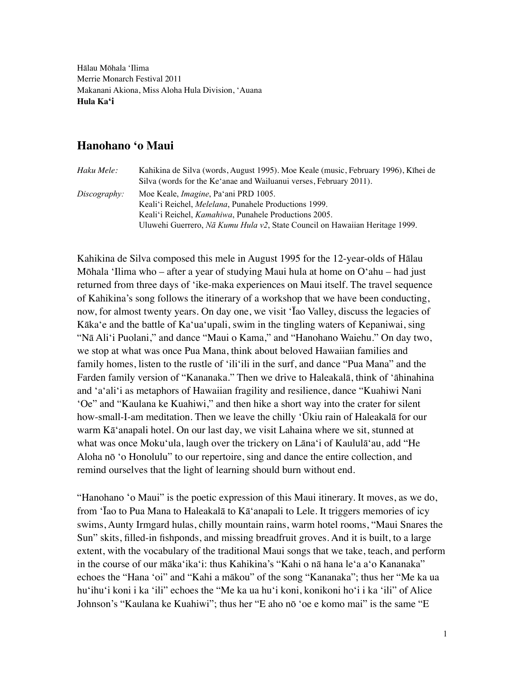Hālau Mōhala 'Ilima Merrie Monarch Festival 2011 Makanani Akiona, Miss Aloha Hula Division, 'Auana **Hula Ka'i**

# **Hanohano 'o Maui**

| Haku Mele:   | Kahikina de Silva (words, August 1995). Moe Keale (music, February 1996), Kīhei de |  |
|--------------|------------------------------------------------------------------------------------|--|
|              | Silva (words for the Ke'anae and Wailuanui verses, February 2011).                 |  |
| Discography: | Moe Keale, <i>Imagine</i> , Pa'ani PRD 1005.                                       |  |
|              | Keali'i Reichel, <i>Melelana</i> , Punahele Productions 1999.                      |  |
|              | Keali'i Reichel, <i>Kamahiwa</i> , Punahele Productions 2005.                      |  |
|              | Uluwehi Guerrero, Nã Kumu Hula v2, State Council on Hawaiian Heritage 1999.        |  |

Kahikina de Silva composed this mele in August 1995 for the 12-year-olds of Hālau Mōhala 'Ilima who – after a year of studying Maui hula at home on O'ahu – had just returned from three days of 'ike-maka experiences on Maui itself. The travel sequence of Kahikina's song follows the itinerary of a workshop that we have been conducting, now, for almost twenty years. On day one, we visit ʻĪao Valley, discuss the legacies of Kāka'e and the battle of Ka'ua'upali, swim in the tingling waters of Kepaniwai, sing "Nā Ali'i Puolani," and dance "Maui o Kama," and "Hanohano Waiehu." On day two, we stop at what was once Pua Mana, think about beloved Hawaiian families and family homes, listen to the rustle of ʻiliʻili in the surf, and dance "Pua Mana" and the Farden family version of "Kananaka." Then we drive to Haleakalā, think of 'āhinahina and 'a'ali'i as metaphors of Hawaiian fragility and resilience, dance "Kuahiwi Nani ʻOe" and "Kaulana ke Kuahiwi," and then hike a short way into the crater for silent how-small-I-am meditation. Then we leave the chilly ʻŪkiu rain of Haleakalā for our warm Kāʻanapali hotel. On our last day, we visit Lahaina where we sit, stunned at what was once Moku'ula, laugh over the trickery on Lāna'i of Kaululā'au, add "He Aloha nō ʻo Honolulu" to our repertoire, sing and dance the entire collection, and remind ourselves that the light of learning should burn without end.

"Hanohano 'o Maui" is the poetic expression of this Maui itinerary. It moves, as we do, from 'Īao to Pua Mana to Haleakalā to Kā'anapali to Lele. It triggers memories of icy swims, Aunty Irmgard hulas, chilly mountain rains, warm hotel rooms, "Maui Snares the Sun" skits, filled-in fishponds, and missing breadfruit groves. And it is built, to a large extent, with the vocabulary of the traditional Maui songs that we take, teach, and perform in the course of our māka'ika'i: thus Kahikina's "Kahi o nā hana le'a a'o Kananaka" echoes the "Hana 'oi" and "Kahi a mākou" of the song "Kananaka"; thus her "Me ka ua hu'ihu'i koni i ka 'ili" echoes the "Me ka ua hu'i koni, konikoni ho'i i ka 'ili" of Alice Johnson's "Kaulana ke Kuahiwi"; thus her "E aho nō 'oe e komo mai" is the same "E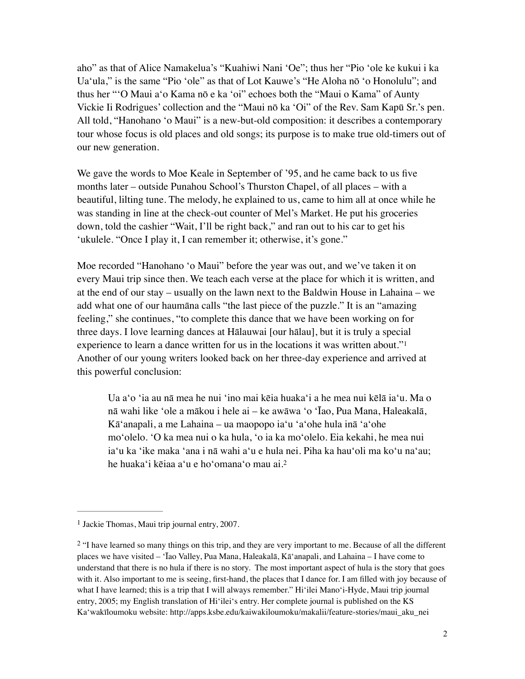aho" as that of Alice Namakelua's "Kuahiwi Nani 'Oe"; thus her "Pio 'ole ke kukui i ka Ua'ula," is the same "Pio 'ole" as that of Lot Kauwe's "He Aloha nō 'o Honolulu"; and thus her "'O Maui a'o Kama nō e ka 'oi" echoes both the "Maui o Kama" of Aunty Vickie Ii Rodrigues' collection and the "Maui nō ka 'Oi" of the Rev. Sam Kapū Sr.'s pen. All told, "Hanohano 'o Maui" is a new-but-old composition: it describes a contemporary tour whose focus is old places and old songs; its purpose is to make true old-timers out of our new generation.

We gave the words to Moe Keale in September of '95, and he came back to us five months later – outside Punahou School's Thurston Chapel, of all places – with a beautiful, lilting tune. The melody, he explained to us, came to him all at once while he was standing in line at the check-out counter of Mel's Market. He put his groceries down, told the cashier "Wait, I'll be right back," and ran out to his car to get his 'ukulele. "Once I play it, I can remember it; otherwise, it's gone."

Moe recorded "Hanohano 'o Maui" before the year was out, and we've taken it on every Maui trip since then. We teach each verse at the place for which it is written, and at the end of our stay – usually on the lawn next to the Baldwin House in Lahaina – we add what one of our haumāna calls "the last piece of the puzzle." It is an "amazing feeling," she continues, "to complete this dance that we have been working on for three days. I love learning dances at Hālauwai [our hālau], but it is truly a special experience to learn a dance written for us in the locations it was written about."[1](#page-1-0) Another of our young writers looked back on her three-day experience and arrived at this powerful conclusion:

<span id="page-1-3"></span><span id="page-1-2"></span>Ua a'o 'ia au nā mea he nui 'ino mai kēia huaka'i a he mea nui kēlā ia'u. Ma o nā wahi like 'ole a mākou i hele ai – ke awāwa 'o 'Īao, Pua Mana, Haleakalā, Kā'anapali, a me Lahaina – ua maopopo ia'u 'a'ohe hula inā 'a'ohe mo'olelo. 'O ka mea nui o ka hula, 'o ia ka mo'olelo. Eia kekahi, he mea nui ia'u ka 'ike maka 'ana i nā wahi aʻu e hula nei. Piha ka hau'oli ma ko'u na'au; he huaka'i kēiaa aʻu e ho'omana'o mau ai.[2](#page-1-1)

<span id="page-1-0"></span> $<sup>1</sup>$  $<sup>1</sup>$  $<sup>1</sup>$  Jackie Thomas, Maui trip journal entry, 2007.</sup>

<span id="page-1-1"></span><sup>&</sup>lt;sup>[2](#page-1-3)</sup> "I have learned so many things on this trip, and they are very important to me. Because of all the different places we have visited – 'Īao Valley, Pua Mana, Haleakalā, Kā'anapali, and Lahaina – I have come to understand that there is no hula if there is no story. The most important aspect of hula is the story that goes with it. Also important to me is seeing, first-hand, the places that I dance for. I am filled with joy because of what I have learned; this is a trip that I will always remember." Hi'ilei Mano'i-Hyde, Maui trip journal entry, 2005; my English translation of Hi'ilei's entry. Her complete journal is published on the KS Ka'wakīloumoku website: http://apps.ksbe.edu/kaiwakiloumoku/makalii/feature-stories/maui\_aku\_nei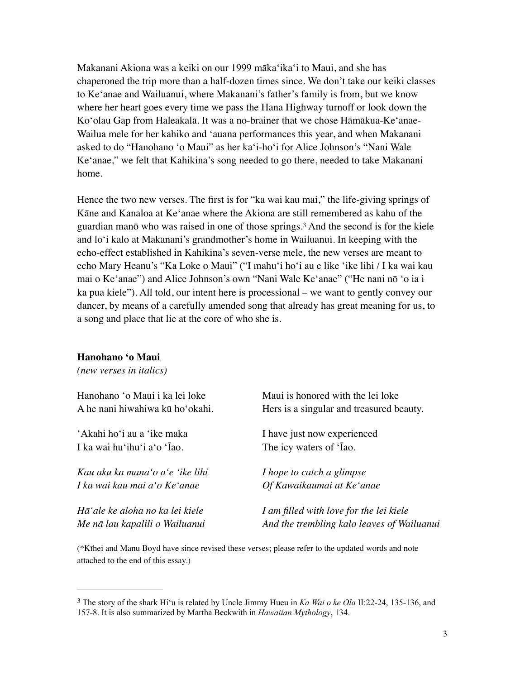Makanani Akiona was a keiki on our 1999 māka'ika'i to Maui, and she has chaperoned the trip more than a half-dozen times since. We don't take our keiki classes to Ke'anae and Wailuanui, where Makanani's father's family is from, but we know where her heart goes every time we pass the Hana Highway turnoff or look down the Ko'olau Gap from Haleakalā. It was a no-brainer that we chose Hāmākua-Ke'anae-Wailua mele for her kahiko and 'auana performances this year, and when Makanani asked to do "Hanohano 'o Maui" as her ka'i-ho'i for Alice Johnson's "Nani Wale Ke'anae," we felt that Kahikina's song needed to go there, needed to take Makanani home.

<span id="page-2-1"></span>Hence the two new verses. The first is for "ka wai kau mai," the life-giving springs of Kāne and Kanaloa at Ke'anae where the Akiona are still remembered as kahu of the guardian manō who was raised in one of those springs[.](#page-2-0)<sup>[3](#page-2-0)</sup> And the second is for the kiele and lo'i kalo at Makanani's grandmother's home in Wailuanui. In keeping with the echo-effect established in Kahikina's seven-verse mele, the new verses are meant to echo Mary Heanu's "Ka Loke o Maui" ("I mahu'i ho'i au e like 'ike lihi / I ka wai kau mai o Ke'anae") and Alice Johnson's own "Nani Wale Ke'anae" ("He nani nō 'o ia i ka pua kiele"). All told, our intent here is processional – we want to gently convey our dancer, by means of a carefully amended song that already has great meaning for us, to a song and place that lie at the core of who she is.

#### **Hanohano 'o Maui**

*(new verses in italics)*

| Hanohano 'o Maui i ka lei loke  | Maui is honored with the lei loke          |  |
|---------------------------------|--------------------------------------------|--|
| A he nani hiwahiwa kū ho'okahi. | Hers is a singular and treasured beauty.   |  |
| 'Akahi ho'i au a 'ike maka      | I have just now experienced                |  |
| I ka wai hu'ihu'i a'o 'Iao.     | The icy waters of 'Iao.                    |  |
| Kau aku ka mana'o a'e 'ike lihi | <i>I hope to catch a glimpse</i>           |  |
| I ka wai kau mai a'o Ke'anae    | Of Kawaikaumai at Ke'anae                  |  |
| Hā'ale ke aloha no ka lei kiele | I am filled with love for the lei kiele    |  |
| Me nā lau kapalili o Wailuanui  | And the trembling kalo leaves of Wailuanui |  |

(\*Kīhei and Manu Boyd have since revised these verses; please refer to the updated words and note attached to the end of this essay.)

<span id="page-2-0"></span>The story of the shark Hi'u is related by Uncle Jimmy Hueu in *Ka Wai o ke Ola* II:22-24, 135-136, and [3](#page-2-1) 157-8. It is also summarized by Martha Beckwith in *Hawaiian Mythology*, 134.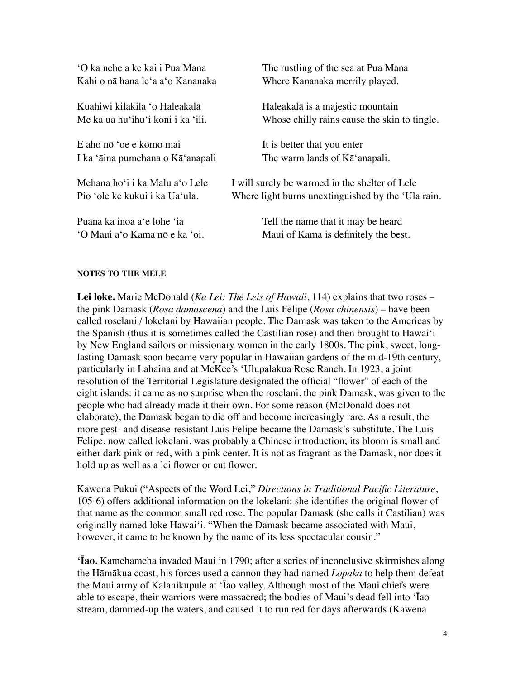| 'O ka nehe a ke kai i Pua Mana<br>Kahi o nā hana le'a a'o Kananaka | The rustling of the sea at Pua Mana<br>Where Kananaka merrily played. |
|--------------------------------------------------------------------|-----------------------------------------------------------------------|
| Kuahiwi kilakila 'o Haleakalā                                      | Haleakalā is a majestic mountain                                      |
| Me ka ua hu'ihu'i koni i ka 'ili.                                  | Whose chilly rains cause the skin to tingle.                          |
| E aho nō 'oe e komo mai                                            | It is better that you enter                                           |
| I ka 'āina pumehana o Kā'anapali                                   | The warm lands of Ka <sup>'</sup> anapali.                            |
| Mehana ho'i i ka Malu a'o Lele                                     | I will surely be warmed in the shelter of Lele                        |
| Pio 'ole ke kukui i ka Ua'ula.                                     | Where light burns unextinguished by the 'Ula rain.                    |
| Puana ka inoa a'e lohe 'ia                                         | Tell the name that it may be heard                                    |
| 'O Maui a'o Kama nō e ka 'oi.                                      | Maui of Kama is definitely the best.                                  |

### **NOTES TO THE MELE**

**Lei loke.** Marie McDonald (*Ka Lei: The Leis of Hawaii*, 114) explains that two roses – the pink Damask (*Rosa damascena*) and the Luis Felipe (*Rosa chinensis*) – have been called roselani / lokelani by Hawaiian people. The Damask was taken to the Americas by the Spanish (thus it is sometimes called the Castilian rose) and then brought to Hawai'i by New England sailors or missionary women in the early 1800s. The pink, sweet, longlasting Damask soon became very popular in Hawaiian gardens of the mid-19th century, particularly in Lahaina and at McKee's 'Ulupalakua Rose Ranch. In 1923, a joint resolution of the Territorial Legislature designated the official "flower" of each of the eight islands: it came as no surprise when the roselani, the pink Damask, was given to the people who had already made it their own. For some reason (McDonald does not elaborate), the Damask began to die off and become increasingly rare. As a result, the more pest- and disease-resistant Luis Felipe became the Damask's substitute. The Luis Felipe, now called lokelani, was probably a Chinese introduction; its bloom is small and either dark pink or red, with a pink center. It is not as fragrant as the Damask, nor does it hold up as well as a lei flower or cut flower.

Kawena Pukui ("Aspects of the Word Lei," *Directions in Traditional Pacific Literature*, 105-6) offers additional information on the lokelani: she identifies the original flower of that name as the common small red rose. The popular Damask (she calls it Castilian) was originally named loke Hawai'i. "When the Damask became associated with Maui, however, it came to be known by the name of its less spectacular cousin."

**'Īao.** Kamehameha invaded Maui in 1790; after a series of inconclusive skirmishes along the Hāmākua coast, his forces used a cannon they had named *Lopaka* to help them defeat the Maui army of Kalanikūpule at 'Īao valley. Although most of the Maui chiefs were able to escape, their warriors were massacred; the bodies of Maui's dead fell into 'Īao stream, dammed-up the waters, and caused it to run red for days afterwards (Kawena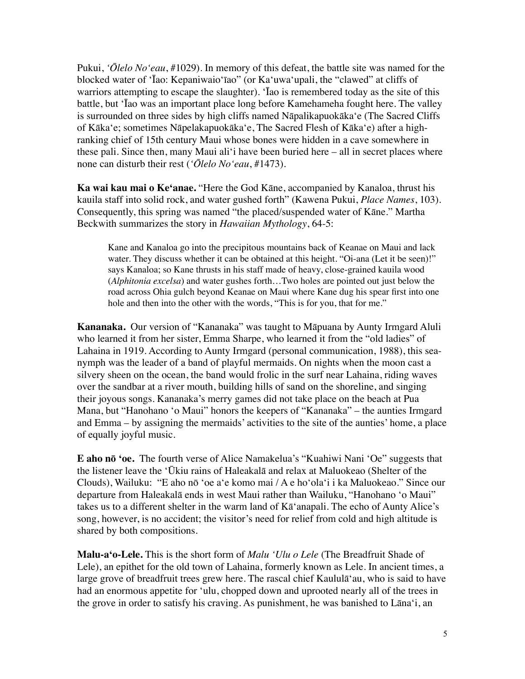Pukui, *'Ōlelo No'eau*, #1029). In memory of this defeat, the battle site was named for the blocked water of 'Īao: Kepaniwaio'īao" (or Ka'uwa'upali, the "clawed" at cliffs of warriors attempting to escape the slaughter). 'Īao is remembered today as the site of this battle, but 'Īao was an important place long before Kamehameha fought here. The valley is surrounded on three sides by high cliffs named Nāpalikapuokāka'e (The Sacred Cliffs of Kāka'e; sometimes Nāpelakapuokāka'e, The Sacred Flesh of Kāka'e) after a highranking chief of 15th century Maui whose bones were hidden in a cave somewhere in these pali. Since then, many Maui ali'i have been buried here – all in secret places where none can disturb their rest (*'Ōlelo No'eau*, #1473).

**Ka wai kau mai o Keʻanae.** "Here the God Kāne, accompanied by Kanaloa, thrust his kauila staff into solid rock, and water gushed forth" (Kawena Pukui, *Place Names*, 103). Consequently, this spring was named "the placed/suspended water of Kāne." Martha Beckwith summarizes the story in *Hawaiian Mythology*, 64-5:

Kane and Kanaloa go into the precipitous mountains back of Keanae on Maui and lack water. They discuss whether it can be obtained at this height. "Oi-ana (Let it be seen)!" says Kanaloa; so Kane thrusts in his staff made of heavy, close-grained kauila wood (*Alphitonia excelsa*) and water gushes forth…Two holes are pointed out just below the road across Ohia gulch beyond Keanae on Maui where Kane dug his spear first into one hole and then into the other with the words, "This is for you, that for me."

**Kananaka.** Our version of "Kananaka" was taught to Māpuana by Aunty Irmgard Aluli who learned it from her sister, Emma Sharpe, who learned it from the "old ladies" of Lahaina in 1919. According to Aunty Irmgard (personal communication, 1988), this seanymph was the leader of a band of playful mermaids. On nights when the moon cast a silvery sheen on the ocean, the band would frolic in the surf near Lahaina, riding waves over the sandbar at a river mouth, building hills of sand on the shoreline, and singing their joyous songs. Kananaka's merry games did not take place on the beach at Pua Mana, but "Hanohano 'o Maui" honors the keepers of "Kananaka" – the aunties Irmgard and Emma – by assigning the mermaids' activities to the site of the aunties' home, a place of equally joyful music.

**E aho nō 'oe.** The fourth verse of Alice Namakelua's "Kuahiwi Nani 'Oe" suggests that the listener leave the 'Ūkiu rains of Haleakalā and relax at Maluokeao (Shelter of the Clouds), Wailuku: "E aho nō 'oe a'e komo mai / A e ho'ola'i i ka Maluokeao." Since our departure from Haleakalā ends in west Maui rather than Wailuku, "Hanohano 'o Maui" takes us to a different shelter in the warm land of Kā'anapali. The echo of Aunty Alice's song, however, is no accident; the visitor's need for relief from cold and high altitude is shared by both compositions.

**Malu-a'o-Lele.** This is the short form of *Malu 'Ulu o Lele* (The Breadfruit Shade of Lele), an epithet for the old town of Lahaina, formerly known as Lele. In ancient times, a large grove of breadfruit trees grew here. The rascal chief Kaululā'au, who is said to have had an enormous appetite for 'ulu, chopped down and uprooted nearly all of the trees in the grove in order to satisfy his craving. As punishment, he was banished to Lāna'i, an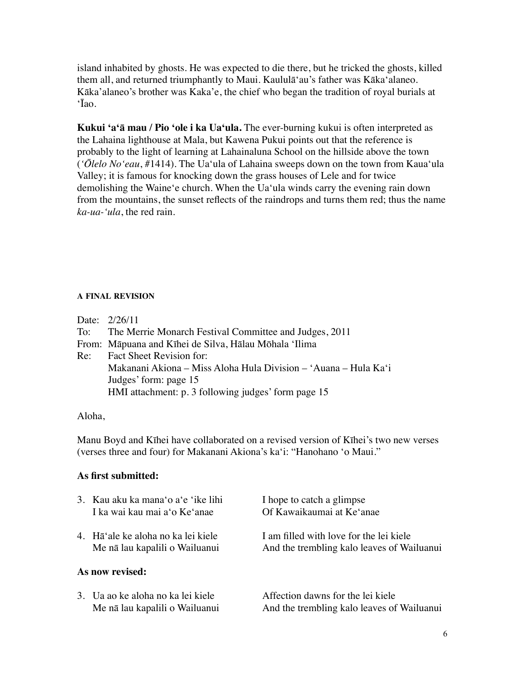island inhabited by ghosts. He was expected to die there, but he tricked the ghosts, killed them all, and returned triumphantly to Maui. Kaululā'au's father was Kāka'alaneo. Kāka'alaneo's brother was Kaka'e, the chief who began the tradition of royal burials at 'Īao.

**Kukui 'a'ā mau / Pio 'ole i ka Ua'ula.** The ever-burning kukui is often interpreted as the Lahaina lighthouse at Mala, but Kawena Pukui points out that the reference is probably to the light of learning at Lahainaluna School on the hillside above the town (*'Ōlelo No'eau*, #1414). The Ua'ula of Lahaina sweeps down on the town from Kaua'ula Valley; it is famous for knocking down the grass houses of Lele and for twice demolishing the Waine'e church. When the Ua'ula winds carry the evening rain down from the mountains, the sunset reflects of the raindrops and turns them red; thus the name *ka-ua-'ula*, the red rain.

### **A FINAL REVISION**

| Date: $2/26/11$                                                 |  |
|-----------------------------------------------------------------|--|
| To: The Merrie Monarch Festival Committee and Judges, 2011      |  |
| From: Māpuana and Kīhei de Silva, Hālau Mōhala 'Ilima           |  |
| Re: Fact Sheet Revision for:                                    |  |
| Makanani Akiona – Miss Aloha Hula Division – 'Auana – Hula Ka'i |  |
| Judges' form: page 15                                           |  |
| HMI attachment: p. 3 following judges' form page 15             |  |
|                                                                 |  |

## Aloha,

Manu Boyd and Kīhei have collaborated on a revised version of Kīhei's two new verses (verses three and four) for Makanani Akiona's ka'i: "Hanohano 'o Maui."

## **As first submitted:**

|                 | 3. Kau aku ka mana'o a'e 'ike lihi<br>I ka wai kau mai a'o Ke'anae   | I hope to catch a glimpse<br>Of Kawaikaumai at Ke'anae                                |  |  |  |
|-----------------|----------------------------------------------------------------------|---------------------------------------------------------------------------------------|--|--|--|
|                 | 4. Hā'ale ke aloha no ka lei kiele<br>Me nā lau kapalili o Wailuanui | I am filled with love for the lei kiele<br>And the trembling kalo leaves of Wailuanui |  |  |  |
| As now revised: |                                                                      |                                                                                       |  |  |  |
|                 | 3. Ua ao ke aloha no ka lei kiele<br>Me nā lau kapalili o Wailuanui  | Affection dawns for the lei kiele<br>And the trembling kalo leaves of Wailuanui       |  |  |  |